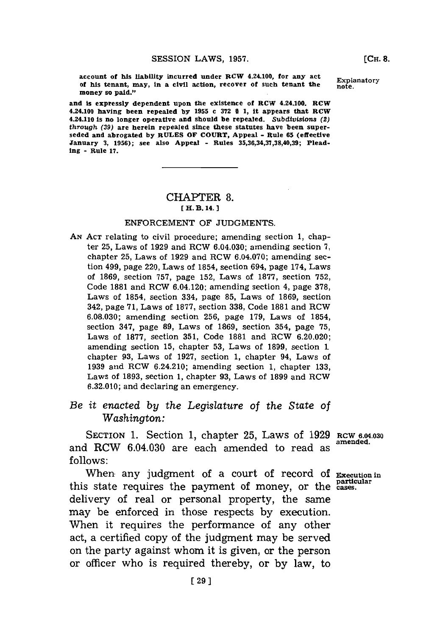account of his liability incurred under RCW 4.24.100, for any act Explanatory of his tenant, may, in a civil action, recover of such tenant the **EXPI money so paid."**

**and is expressly dependent upon the existence of RCW 4.24.100. RCW 4.24.100 having been repealed by 1955 c 372 § 1, it appears that RCW 4.24.110 is no longer operative and should be repealed. Subdivisions (2)** *through* **(39) are herein repealed since these statutes have been superseded and abrogated by RULES OF COURT, Appeal - Rule 65 (effective January 3, 1956); see also Appeal - Rules 35,36,34,37,38,40,39; Pleading - Rule 17.**

## CHAPTrER **8. [ H. B. 14. 1**

## **ENFORCEMENT** OF **JUDGMENTS.**

**AN ACT** relating to civil procedure; amending section **1,** chapter **25,** Laws of **1929** and RCW 6.04.030; amending section **7,** chapter **25,** Laws of **1929** and RCW 6.04.070; amending section 499, page 220, Laws of 1854, section 694, page 174, Laws of **1869,** section **757,** page **152,** Laws of **1877,** section **752,** Code **1881** and RCW 6.04.120; amending section 4, page **378,** Laws of 1854, section 334, page **85,** Laws of **1869,** section 342, page **71,** Laws of **1877,** section **338,** Code **1881** and RCW **6.08.030;** amending section **256,** page **179,** Laws of 1854, section 347, page **89,** Laws of **1869,** section 354, page **75,** Laws of **1877,** section **351,** Code **1881** and RCW **6.20.020;** amending section **15,** chapter **53,** Laws of **1899,** section 1 chapter **93,** Laws of **1927,** section **1,** chapter 94, Laws of **1939** and RCW 6.24.210; amending section **1,** chapter **133,** Laws of **1893,** section **1,** chapter **93,** Laws of **1899** and RCW **6.32.010;** and declaring an emergency.

*Be it enuacted by the Legislature of the State of Washington:*

SECTION **1.** Section **1,** chapter **25,** Laws of **1929 RCW 6.04.030** and RCW 6.04.030 are each amended to read as **follows:**

When any judgment of a court of record of Execution in this state requires the payment of money, or the cases. delivery of real or personal property, the same may be enforced in those respects **by** execution. When it requires the performance of any other act, a certified copy of the judgment may be served on the party against whom it is given, or the person or officer who is required thereby, or **by** law, to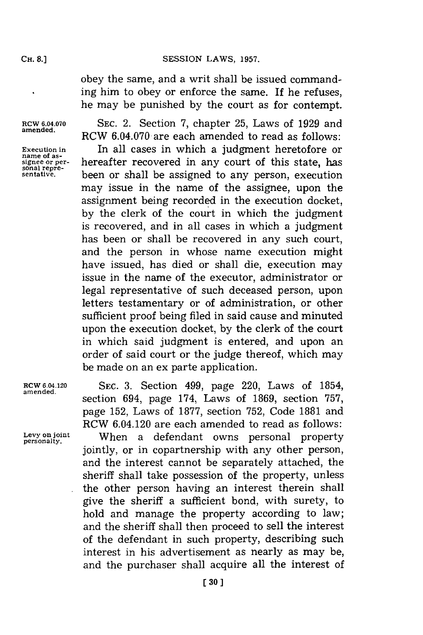obey the same, and a writ shall be issued commanding him to obey or enforce the same. If he refuses, he may be punished **by** the court as for contempt.

**RCW 6.04.070 SEC.** 2. Section **7,** chapter **25,** Laws of **1929** and RCW  $6.04.070$  are each amended to read as follows: Execution in **In all cases in which a judgment heretofore or name of as- ignee or per- hereafter recovered in any court of this state, has** some repre**sonal repre- sentative,** been or shall be assigned to any person, execution may issue in the name of the assignee, upon the assignment being recorded in the execution docket, **by** the clerk of the court in which the judgment is recovered, and in all cases in which a judgment has been or shall be recovered in any such court, and the person in whose name execution might have issued, has died or shall die, execution may issue in the name of the executor, administrator or legal representative of such deceased person, upon letters testamentary or of administration, or other sufficient proof being filed in said cause and minuted upon the execution docket, **by** the clerk of the court in which said judgment is entered, and upon an order of said court or the judge thereof, which may be made on an ex parte application.

Rcw **6.04.120 SEC. 3.** Section 499, page 220, Laws of 1854, **amended.** section 694, page 174, Laws of **1869,** section **757,** page **152,** Laws of **1877,** section **752,** Code **1881** and RCW 6.04.120 are each amended to read as follows: Levy on joint **When a defendant owns personal property** jointly, or in copartnership with any other person, and the interest cannot be separately attached, the sheriff shall take possession of the property, unless the other person having an interest therein shall give the sheriff a sufficient bond, with surety, to hold and manage the property according to law; and the sheriff shall then proceed to sell the interest of the defendant in such property, describing such interest in his advertisement as nearly as may be, and the purchaser shall acquire all the interest of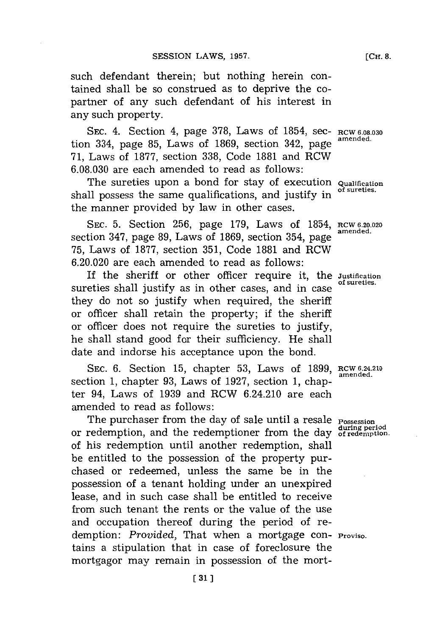such defendant therein; but nothing herein contained shall be so construed as to deprive the copartner of any such defendant of his interest in any such property.

SEC. 4. Section 4, page 378, Laws of 1854, sec- **RCW 6.08.030**<br>
amended. tion 334, page 85, Laws of 1869, section 342, page **71,** Laws of **1877, section 338,** Code **1881** and RCW **6.08.030** are each amended to read as follows:

The sureties upon a bond for stay of execution **Qualification** shall possess the same qualifications, and justify in the manner provided **by** law in other cases.

SEC. 5. Section 256, page 179, Laws of 1854, RCW 6.20.020 section 347, page 89, Laws of 1869, section 354, page **75,** Laws of **1877,** section **351,** Code **1881** and RCW **6.20.020** are each amended to read as follows:

If the sheriff or other officer require it, the **Justification** sureties shall justify as in other cases, and in case they do not so justify when required, the sheriff or officer shall retain the property; if the sheriff or officer does not require the sureties to justify, he shall stand good for their sufficiency. He shall date and indorse his acceptance upon the bond.

**SEC. 6.** Section **15,** chapter **53,** Laws of **1899, RCW 6.24.210 amended.** section **1,** chapter **93,** Laws of **1927,** section **1,** chapter 94, Laws of **1939** and RCW 6.24.210 are each amended to read as follows:

The purchaser from the day of sale until a resale **Possession**<br>moderation and the redemationer from the day during period **during period** or redemption, and the redemptioner from the day **of redemption.** of his redemption until another redemption, shall be entitled to the possession of the property purchased or redeemed, unless the same be in the possession of a tenant holding under an unexpired lease, and in such case shall be entitled to receive from such tenant the rents or the value of the use and occupation thereof during the period of redemption: *Provided,* That when a mortgage con- **Proviso.** tains a stipulation that in case of foreclosure the mortgagor may remain in possession of the mort-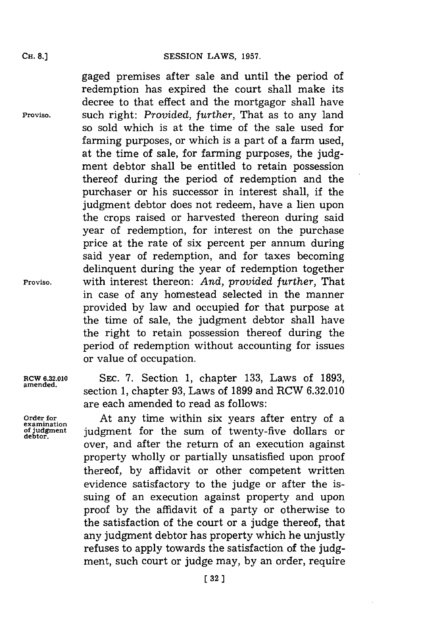gaged premises after sale and until the period of redemption has expired the court shall make its decree to that effect and the mortgagor shall have **Proviso,** such right: *Provided, further,* That as to any land so sold which is at the time of the sale used for farming purposes, or which is a part of a farm used, at the time of sale, for farming purposes, the **judg**ment debtor shall be entitled to retain possession thereof during the period of redemption and the purchaser or his successor in interest shall, if the judgment debtor does not redeem, have a lien upon the crops raised or harvested thereon during said year of redemption, for interest on the purchase price at the rate of six percent per annum during said year of redemption, and for taxes becoming delinquent during the year of redemption together **Proviso,** with interest thereon: *And, provided further,* That in case of any homestead selected in the manner provided **by** law and occupied for that purpose at the time of sale, the judgment debtor shall have the right to retain possession thereof during the period of redemption without accounting for issues or value of occupation.

RCW **6.32.010 SEC. 7.** Section **1,** chapter **133,** Laws of **1893,** amended. section **1,** chapter **93,** Laws of **1899** and RCW **6.32.010** are each amended to read as follows:

Order for **At any time within six years after entry of a** examination of judgment for the sum of twenty-five dollars or judgment for the sum of twenty-five dollars or over, and after the return of an execution against property wholly or partially unsatisfied upon proof thereof, **by** affidavit or other competent written evidence satisfactory to the judge or after the issuing of an execution against property and upon proof **by** the affidavit of a party or otherwise to the satisfaction of the court or a judge thereof, that any judgment debtor has property which he unjustly refuses to apply towards the satisfaction of the **judg**ment, such court or judge may, **by** an order, require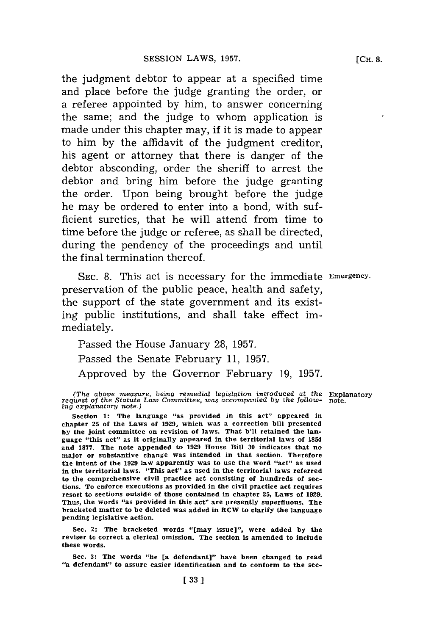the judgment debtor to appear at a specified time and place before the judge granting the order, or a referee appointed **by** him, to answer concerning the same; and the judge to whom application is made under this chapter may, if it is made to appear to him **by** the affidavit of the judgment creditor, his agent or attorney that there is danger of the debtor absconding, order the sheriff to arrest the debtor and bring him before the judge granting the order. Upon being brought before the judge he may be ordered to enter into a bond, with sufficient sureties, that he will attend from time to time before the judge or referee, as shall be directed, during the pendency of the proceedings and until the final termination thereof.

**SEC. 8.** This act is necessary for the immediate Emergency. preservation of the public peace, health and safety, the support of the state government and its existing public institutions, and shall take effect immediately.

Passed the House January **28, 1957.** Passed the Senate February **11, 1957.** Approved **by** the Governor February **19, 1957.**

**Sec. 2: The bracketed words "[may issue]", were added by the reviser to correct a clerical omission. The section is amended to include these words.**

*<sup>(</sup>The above measure, being remedial legislation introduced at the* Explanatory *reqluest of the Statute Law Committee, was accompanied by the follow-* **note.** *ing explanatory note.)*

**Section 1: The language "as provided in this act" appeared in chapter 25 of the Laws of 1929; which was a correction bill presented by the joint committee on revision of laws. That b'll retained the language "this act" as it originally appeared in the territorial laws of 1854 and 1877. The note appended to 1929 House Bill 30 indicates that no major or substantive change was intended in that section. Therefore the intent of the 1929 law apparently was to use the word "act" as used in the territorial laws. "This act" as used in the territorial laws referred to the comprehensive civil practice act consisting of hundreds of sections. To enforce executions as provided in the civil practice act requires resort to sections outside of those contained in chapter 25, Laws of 1929. Thus, the words "as provided in this act" are presently superfluous. The bracketed matter to be deleted was added in RCW to clarify the language pending legislative action.**

**See. 3: The words "he [a defendant]" have been changed to read "a defendant" to assure easier identification and to conform to the sec-**